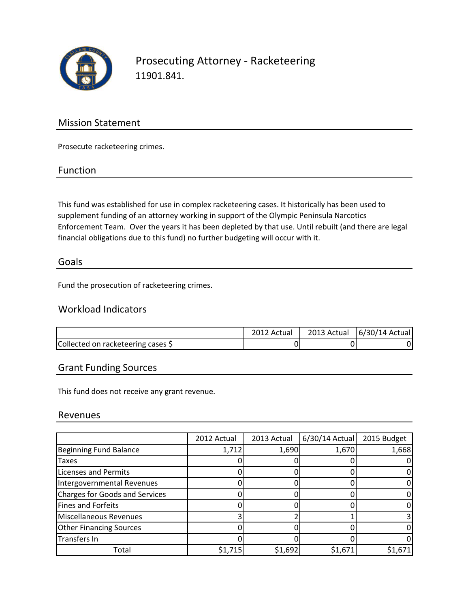

Prosecuting Attorney - Racketeering 11901.841.

## Mission Statement

Prosecute racketeering crimes.

#### Function

This fund was established for use in complex racketeering cases. It historically has been used to supplement funding of an attorney working in support of the Olympic Peninsula Narcotics Enforcement Team. Over the years it has been depleted by that use. Until rebuilt (and there are legal financial obligations due to this fund) no further budgeting will occur with it.

#### Goals

Fund the prosecution of racketeering crimes.

## Workload Indicators

|                                    | 2012 Actual | 2013 Actual | 6/30/14 Actual |
|------------------------------------|-------------|-------------|----------------|
| Collected on racketeering cases \$ |             |             |                |

## Grant Funding Sources

This fund does not receive any grant revenue.

#### Revenues

|                                       | 2012 Actual | 2013 Actual | 6/30/14 Actual | 2015 Budget |
|---------------------------------------|-------------|-------------|----------------|-------------|
| <b>Beginning Fund Balance</b>         | 1,712       | 1,690       | 1,670          | 1,668       |
| Taxes                                 |             |             |                |             |
| <b>Licenses and Permits</b>           |             |             |                |             |
| Intergovernmental Revenues            |             |             |                |             |
| <b>Charges for Goods and Services</b> |             |             |                |             |
| <b>Fines and Forfeits</b>             |             |             |                |             |
| Miscellaneous Revenues                |             |             |                |             |
| <b>Other Financing Sources</b>        |             |             |                |             |
| Transfers In                          |             |             |                |             |
| Total                                 | \$1,715     | \$1,692     | \$1,671        | \$1,671     |